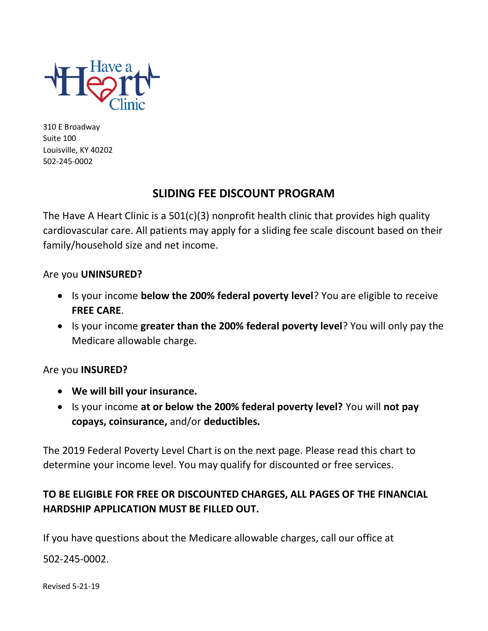

310 E Broadway Suite 100 Louisville, KY 40202 502-245-0002

# **SLIDING FEE DISCOUNT PROGRAM**

The Have A Heart Clinic is a 501(c)(3) nonprofit health clinic that provides high quality cardiovascular care. All patients may apply for a sliding fee scale discount based on their family/household size and net income.

## Are you **UNINSURED?**

- Is your income **below the 200% federal poverty level**? You are eligible to receive **FREE CARE**.
- Is your income **greater than the 200% federal poverty level**? You will only pay the Medicare allowable charge.

# Are you **INSURED?**

- **We will bill your insurance.**
- Is your income **at or below the 200% federal poverty level?** You will **not pay copays, coinsurance,** and/or **deductibles.**

The 2019 Federal Poverty Level Chart is on the next page. Please read this chart to determine your income level. You may qualify for discounted or free services.

# **TO BE ELIGIBLE FOR FREE OR DISCOUNTED CHARGES, ALL PAGES OF THE FINANCIAL HARDSHIP APPLICATION MUST BE FILLED OUT.**

If you have questions about the Medicare allowable charges, call our office at

502-245-0002.

Revised 5-21-19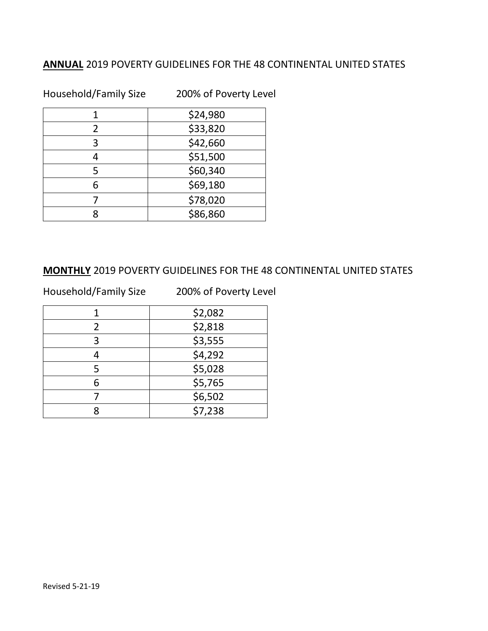# **ANNUAL** 2019 POVERTY GUIDELINES FOR THE 48 CONTINENTAL UNITED STATES

Household/Family Size 200% of Poverty Level

|               | \$24,980 |
|---------------|----------|
| $\mathcal{P}$ | \$33,820 |
| 3             | \$42,660 |
|               | \$51,500 |
| 5             | \$60,340 |
|               | \$69,180 |
|               | \$78,020 |
|               | \$86,860 |

## **MONTHLY** 2019 POVERTY GUIDELINES FOR THE 48 CONTINENTAL UNITED STATES

Household/Family Size 200% of Poverty Level

|   | \$2,082 |
|---|---------|
|   | \$2,818 |
| 3 | \$3,555 |
|   | \$4,292 |
|   | \$5,028 |
|   | \$5,765 |
|   | \$6,502 |
|   | \$7,238 |